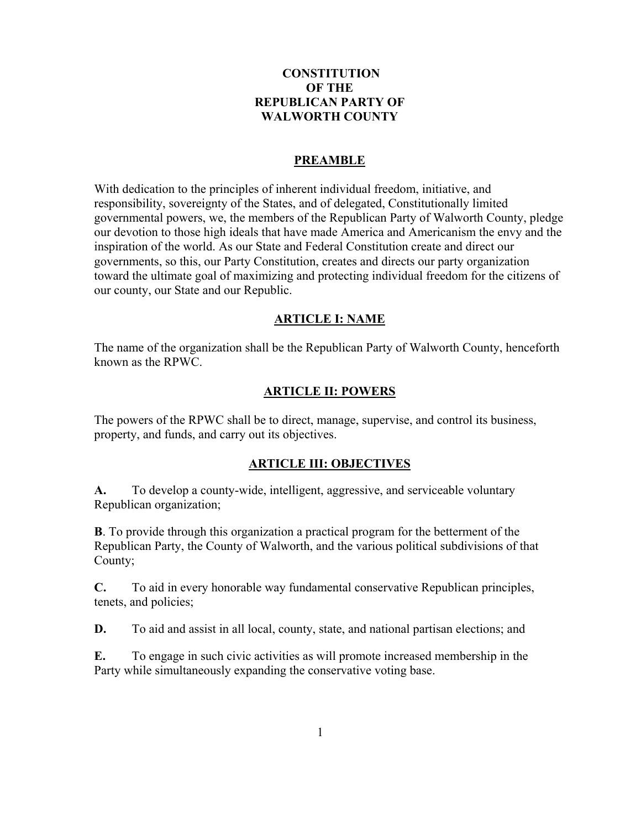# **CONSTITUTION OF THE REPUBLICAN PARTY OF WALWORTH COUNTY**

### **PREAMBLE**

With dedication to the principles of inherent individual freedom, initiative, and responsibility, sovereignty of the States, and of delegated, Constitutionally limited governmental powers, we, the members of the Republican Party of Walworth County, pledge our devotion to those high ideals that have made America and Americanism the envy and the inspiration of the world. As our State and Federal Constitution create and direct our governments, so this, our Party Constitution, creates and directs our party organization toward the ultimate goal of maximizing and protecting individual freedom for the citizens of our county, our State and our Republic.

### **ARTICLE I: NAME**

The name of the organization shall be the Republican Party of Walworth County, henceforth known as the RPWC.

### **ARTICLE II: POWERS**

The powers of the RPWC shall be to direct, manage, supervise, and control its business, property, and funds, and carry out its objectives.

#### **ARTICLE III: OBJECTIVES**

**A.** To develop a county-wide, intelligent, aggressive, and serviceable voluntary Republican organization;

**B**. To provide through this organization a practical program for the betterment of the Republican Party, the County of Walworth, and the various political subdivisions of that County;

**C.** To aid in every honorable way fundamental conservative Republican principles, tenets, and policies;

**D.** To aid and assist in all local, county, state, and national partisan elections; and

**E.** To engage in such civic activities as will promote increased membership in the Party while simultaneously expanding the conservative voting base.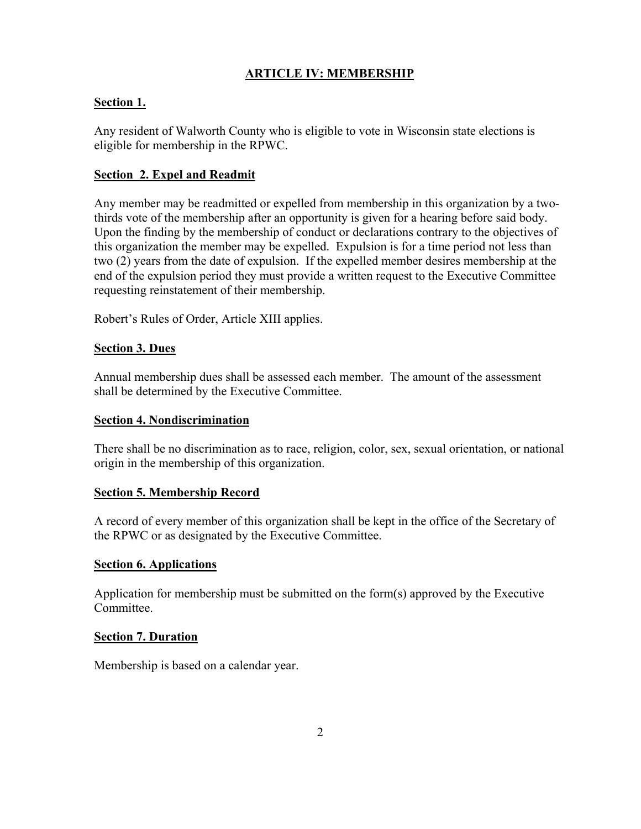# **ARTICLE IV: MEMBERSHIP**

# **Section 1.**

Any resident of Walworth County who is eligible to vote in Wisconsin state elections is eligible for membership in the RPWC.

## **Section 2. Expel and Readmit**

Any member may be readmitted or expelled from membership in this organization by a twothirds vote of the membership after an opportunity is given for a hearing before said body. Upon the finding by the membership of conduct or declarations contrary to the objectives of this organization the member may be expelled. Expulsion is for a time period not less than two (2) years from the date of expulsion. If the expelled member desires membership at the end of the expulsion period they must provide a written request to the Executive Committee requesting reinstatement of their membership.

Robert's Rules of Order, Article XIII applies.

### **Section 3. Dues**

Annual membership dues shall be assessed each member. The amount of the assessment shall be determined by the Executive Committee.

### **Section 4. Nondiscrimination**

There shall be no discrimination as to race, religion, color, sex, sexual orientation, or national origin in the membership of this organization.

### **Section 5. Membership Record**

A record of every member of this organization shall be kept in the office of the Secretary of the RPWC or as designated by the Executive Committee.

### **Section 6. Applications**

Application for membership must be submitted on the form(s) approved by the Executive Committee.

### **Section 7. Duration**

Membership is based on a calendar year.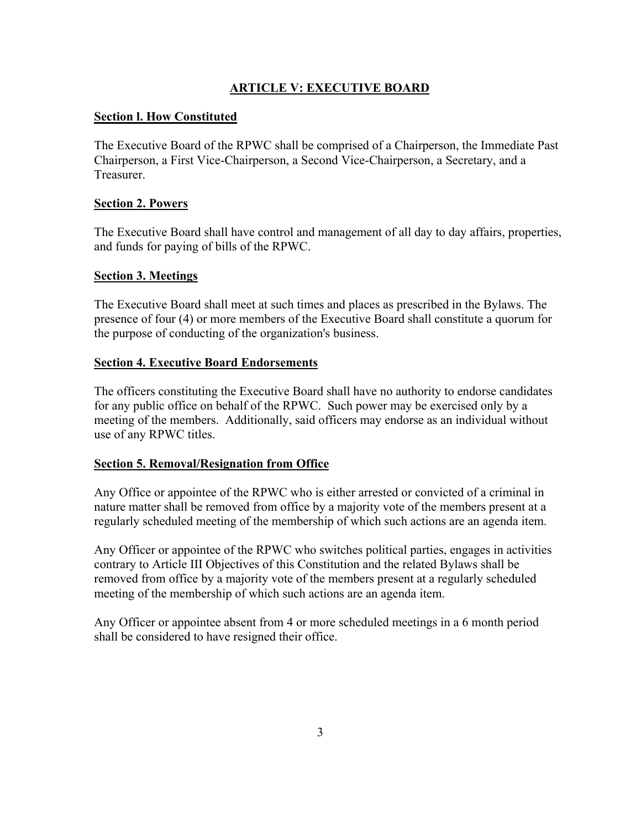# **ARTICLE V: EXECUTIVE BOARD**

## **Section l. How Constituted**

The Executive Board of the RPWC shall be comprised of a Chairperson, the Immediate Past Chairperson, a First Vice-Chairperson, a Second Vice-Chairperson, a Secretary, and a Treasurer.

### **Section 2. Powers**

The Executive Board shall have control and management of all day to day affairs, properties, and funds for paying of bills of the RPWC.

### **Section 3. Meetings**

The Executive Board shall meet at such times and places as prescribed in the Bylaws. The presence of four (4) or more members of the Executive Board shall constitute a quorum for the purpose of conducting of the organization's business.

### **Section 4. Executive Board Endorsements**

The officers constituting the Executive Board shall have no authority to endorse candidates for any public office on behalf of the RPWC. Such power may be exercised only by a meeting of the members. Additionally, said officers may endorse as an individual without use of any RPWC titles.

### **Section 5. Removal/Resignation from Office**

Any Office or appointee of the RPWC who is either arrested or convicted of a criminal in nature matter shall be removed from office by a majority vote of the members present at a regularly scheduled meeting of the membership of which such actions are an agenda item.

Any Officer or appointee of the RPWC who switches political parties, engages in activities contrary to Article III Objectives of this Constitution and the related Bylaws shall be removed from office by a majority vote of the members present at a regularly scheduled meeting of the membership of which such actions are an agenda item.

Any Officer or appointee absent from 4 or more scheduled meetings in a 6 month period shall be considered to have resigned their office.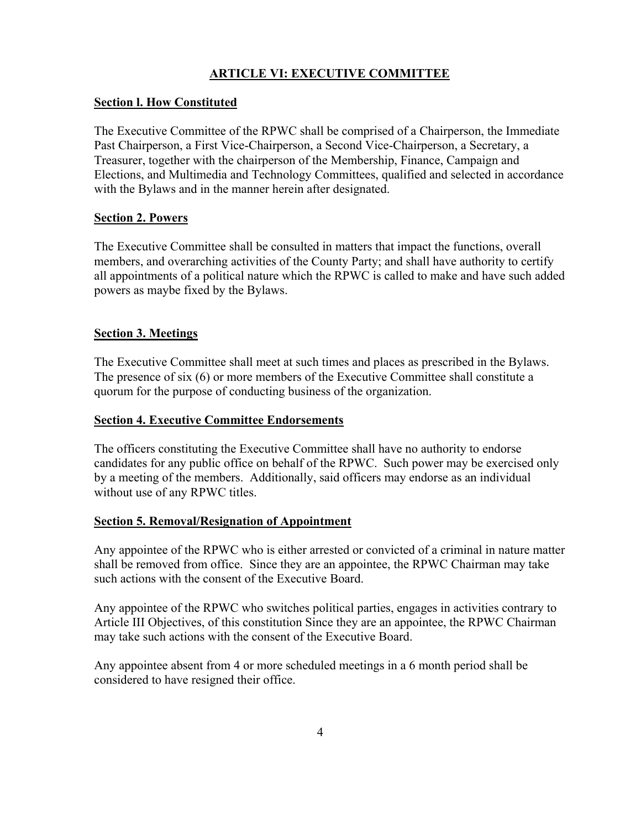# **ARTICLE VI: EXECUTIVE COMMITTEE**

### **Section l. How Constituted**

The Executive Committee of the RPWC shall be comprised of a Chairperson, the Immediate Past Chairperson, a First Vice-Chairperson, a Second Vice-Chairperson, a Secretary, a Treasurer, together with the chairperson of the Membership, Finance, Campaign and Elections, and Multimedia and Technology Committees, qualified and selected in accordance with the Bylaws and in the manner herein after designated.

# **Section 2. Powers**

The Executive Committee shall be consulted in matters that impact the functions, overall members, and overarching activities of the County Party; and shall have authority to certify all appointments of a political nature which the RPWC is called to make and have such added powers as maybe fixed by the Bylaws.

# **Section 3. Meetings**

The Executive Committee shall meet at such times and places as prescribed in the Bylaws. The presence of six (6) or more members of the Executive Committee shall constitute a quorum for the purpose of conducting business of the organization.

### **Section 4. Executive Committee Endorsements**

The officers constituting the Executive Committee shall have no authority to endorse candidates for any public office on behalf of the RPWC. Such power may be exercised only by a meeting of the members. Additionally, said officers may endorse as an individual without use of any RPWC titles.

### **Section 5. Removal/Resignation of Appointment**

Any appointee of the RPWC who is either arrested or convicted of a criminal in nature matter shall be removed from office. Since they are an appointee, the RPWC Chairman may take such actions with the consent of the Executive Board.

Any appointee of the RPWC who switches political parties, engages in activities contrary to Article III Objectives, of this constitution Since they are an appointee, the RPWC Chairman may take such actions with the consent of the Executive Board.

Any appointee absent from 4 or more scheduled meetings in a 6 month period shall be considered to have resigned their office.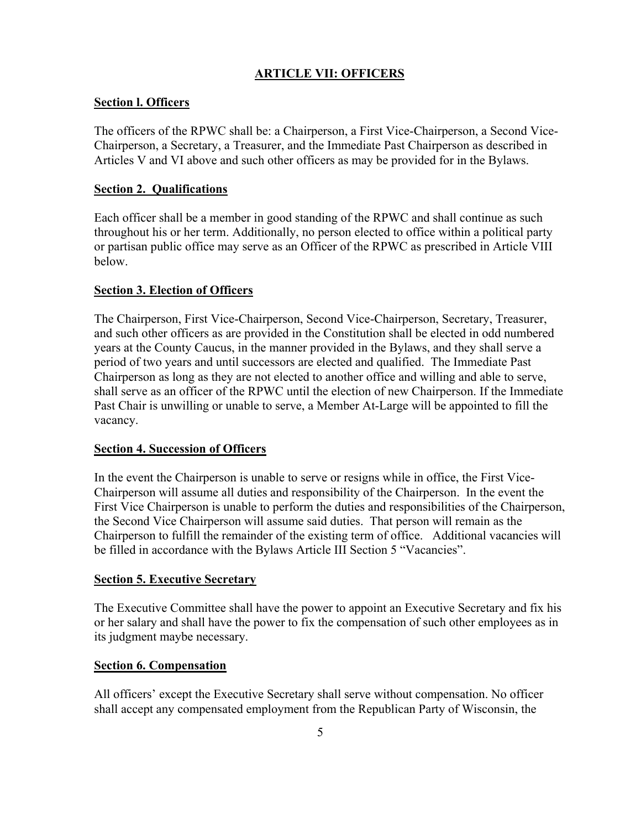# **ARTICLE VII: OFFICERS**

### **Section l. Officers**

The officers of the RPWC shall be: a Chairperson, a First Vice-Chairperson, a Second Vice-Chairperson, a Secretary, a Treasurer, and the Immediate Past Chairperson as described in Articles V and VI above and such other officers as may be provided for in the Bylaws.

### **Section 2. Qualifications**

Each officer shall be a member in good standing of the RPWC and shall continue as such throughout his or her term. Additionally, no person elected to office within a political party or partisan public office may serve as an Officer of the RPWC as prescribed in Article VIII below.

### **Section 3. Election of Officers**

The Chairperson, First Vice-Chairperson, Second Vice-Chairperson, Secretary, Treasurer, and such other officers as are provided in the Constitution shall be elected in odd numbered years at the County Caucus, in the manner provided in the Bylaws, and they shall serve a period of two years and until successors are elected and qualified. The Immediate Past Chairperson as long as they are not elected to another office and willing and able to serve, shall serve as an officer of the RPWC until the election of new Chairperson. If the Immediate Past Chair is unwilling or unable to serve, a Member At-Large will be appointed to fill the vacancy.

### **Section 4. Succession of Officers**

In the event the Chairperson is unable to serve or resigns while in office, the First Vice-Chairperson will assume all duties and responsibility of the Chairperson. In the event the First Vice Chairperson is unable to perform the duties and responsibilities of the Chairperson, the Second Vice Chairperson will assume said duties. That person will remain as the Chairperson to fulfill the remainder of the existing term of office. Additional vacancies will be filled in accordance with the Bylaws Article III Section 5 "Vacancies".

### **Section 5. Executive Secretary**

The Executive Committee shall have the power to appoint an Executive Secretary and fix his or her salary and shall have the power to fix the compensation of such other employees as in its judgment maybe necessary.

### **Section 6. Compensation**

All officers' except the Executive Secretary shall serve without compensation. No officer shall accept any compensated employment from the Republican Party of Wisconsin, the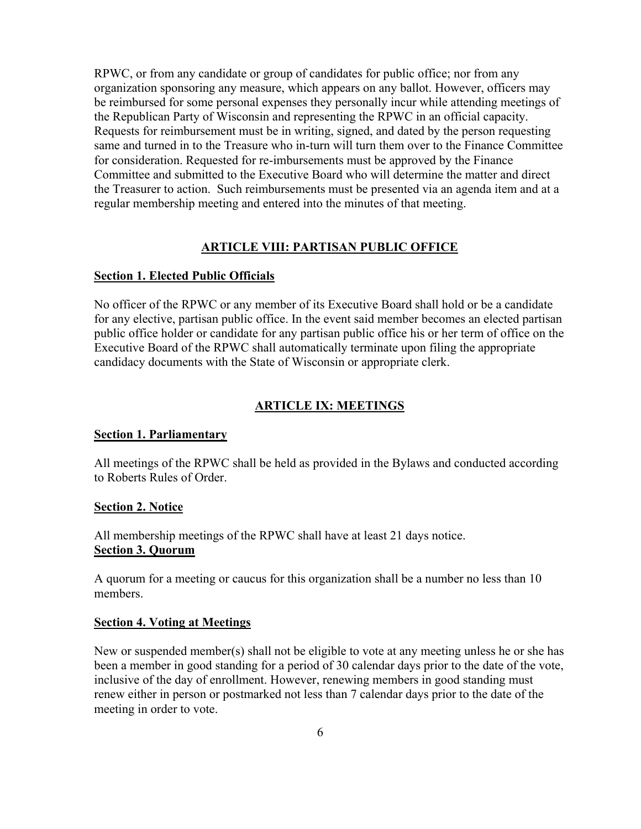RPWC, or from any candidate or group of candidates for public office; nor from any organization sponsoring any measure, which appears on any ballot. However, officers may be reimbursed for some personal expenses they personally incur while attending meetings of the Republican Party of Wisconsin and representing the RPWC in an official capacity. Requests for reimbursement must be in writing, signed, and dated by the person requesting same and turned in to the Treasure who in-turn will turn them over to the Finance Committee for consideration. Requested for re-imbursements must be approved by the Finance Committee and submitted to the Executive Board who will determine the matter and direct the Treasurer to action. Such reimbursements must be presented via an agenda item and at a regular membership meeting and entered into the minutes of that meeting.

#### **ARTICLE VIII: PARTISAN PUBLIC OFFICE**

### **Section 1. Elected Public Officials**

No officer of the RPWC or any member of its Executive Board shall hold or be a candidate for any elective, partisan public office. In the event said member becomes an elected partisan public office holder or candidate for any partisan public office his or her term of office on the Executive Board of the RPWC shall automatically terminate upon filing the appropriate candidacy documents with the State of Wisconsin or appropriate clerk.

#### **ARTICLE IX: MEETINGS**

#### **Section 1. Parliamentary**

All meetings of the RPWC shall be held as provided in the Bylaws and conducted according to Roberts Rules of Order.

#### **Section 2. Notice**

All membership meetings of the RPWC shall have at least 21 days notice. **Section 3. Quorum**

A quorum for a meeting or caucus for this organization shall be a number no less than 10 members.

#### **Section 4. Voting at Meetings**

New or suspended member(s) shall not be eligible to vote at any meeting unless he or she has been a member in good standing for a period of 30 calendar days prior to the date of the vote, inclusive of the day of enrollment. However, renewing members in good standing must renew either in person or postmarked not less than 7 calendar days prior to the date of the meeting in order to vote.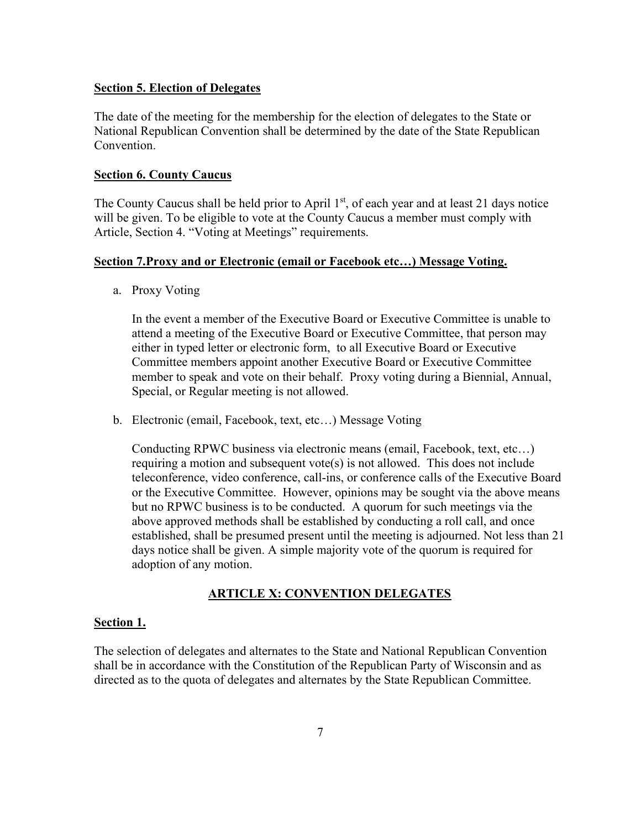#### **Section 5. Election of Delegates**

The date of the meeting for the membership for the election of delegates to the State or National Republican Convention shall be determined by the date of the State Republican Convention.

#### **Section 6. County Caucus**

The County Caucus shall be held prior to April  $1<sup>st</sup>$ , of each year and at least 21 days notice will be given. To be eligible to vote at the County Caucus a member must comply with Article, Section 4. "Voting at Meetings" requirements.

#### **Section 7.Proxy and or Electronic (email or Facebook etc…) Message Voting.**

a. Proxy Voting

In the event a member of the Executive Board or Executive Committee is unable to attend a meeting of the Executive Board or Executive Committee, that person may either in typed letter or electronic form, to all Executive Board or Executive Committee members appoint another Executive Board or Executive Committee member to speak and vote on their behalf. Proxy voting during a Biennial, Annual, Special, or Regular meeting is not allowed.

b. Electronic (email, Facebook, text, etc…) Message Voting

Conducting RPWC business via electronic means (email, Facebook, text, etc…) requiring a motion and subsequent vote(s) is not allowed. This does not include teleconference, video conference, call-ins, or conference calls of the Executive Board or the Executive Committee. However, opinions may be sought via the above means but no RPWC business is to be conducted. A quorum for such meetings via the above approved methods shall be established by conducting a roll call, and once established, shall be presumed present until the meeting is adjourned. Not less than 21 days notice shall be given. A simple majority vote of the quorum is required for adoption of any motion.

### **ARTICLE X: CONVENTION DELEGATES**

#### **Section 1.**

The selection of delegates and alternates to the State and National Republican Convention shall be in accordance with the Constitution of the Republican Party of Wisconsin and as directed as to the quota of delegates and alternates by the State Republican Committee.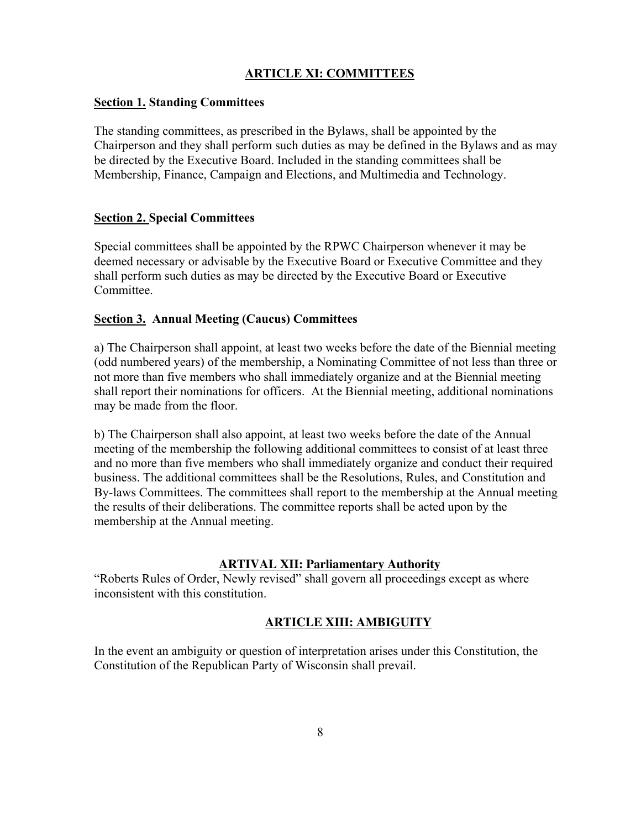# **ARTICLE XI: COMMITTEES**

### **Section 1. Standing Committees**

The standing committees, as prescribed in the Bylaws, shall be appointed by the Chairperson and they shall perform such duties as may be defined in the Bylaws and as may be directed by the Executive Board. Included in the standing committees shall be Membership, Finance, Campaign and Elections, and Multimedia and Technology.

### **Section 2. Special Committees**

Special committees shall be appointed by the RPWC Chairperson whenever it may be deemed necessary or advisable by the Executive Board or Executive Committee and they shall perform such duties as may be directed by the Executive Board or Executive Committee.

### **Section 3. Annual Meeting (Caucus) Committees**

a) The Chairperson shall appoint, at least two weeks before the date of the Biennial meeting (odd numbered years) of the membership, a Nominating Committee of not less than three or not more than five members who shall immediately organize and at the Biennial meeting shall report their nominations for officers. At the Biennial meeting, additional nominations may be made from the floor.

b) The Chairperson shall also appoint, at least two weeks before the date of the Annual meeting of the membership the following additional committees to consist of at least three and no more than five members who shall immediately organize and conduct their required business. The additional committees shall be the Resolutions, Rules, and Constitution and By-laws Committees. The committees shall report to the membership at the Annual meeting the results of their deliberations. The committee reports shall be acted upon by the membership at the Annual meeting.

### **ARTIVAL XII: Parliamentary Authority**

"Roberts Rules of Order, Newly revised" shall govern all proceedings except as where inconsistent with this constitution.

### **ARTICLE XIII: AMBIGUITY**

In the event an ambiguity or question of interpretation arises under this Constitution, the Constitution of the Republican Party of Wisconsin shall prevail.